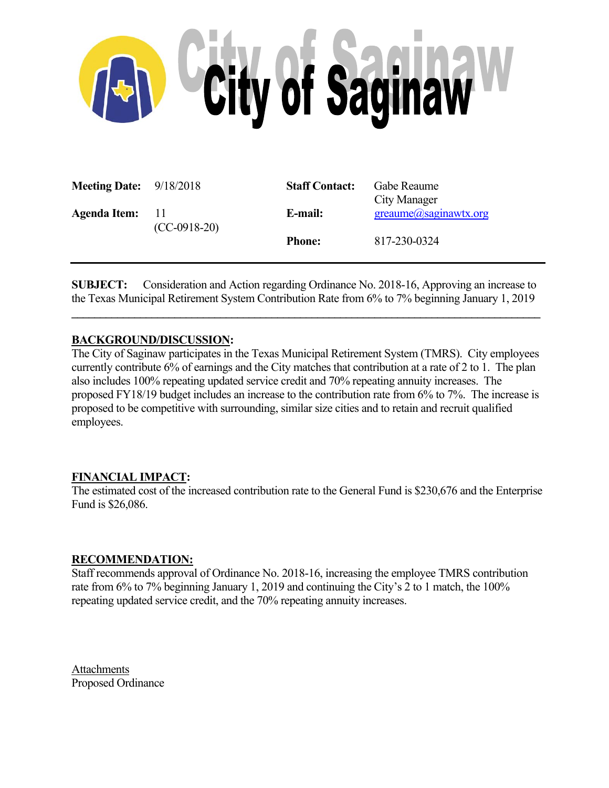

| <b>Meeting Date:</b> 9/18/2018 |                          | <b>Staff Contact:</b> | Gabe Reaume<br>City Manager     |
|--------------------------------|--------------------------|-----------------------|---------------------------------|
| <b>Agenda Item:</b>            | $\Box$<br>$(CC-0918-20)$ | E-mail:               | $green$ ume $(a)$ saginawtx.org |
|                                |                          | <b>Phone:</b>         | 817-230-0324                    |

**SUBJECT:** Consideration and Action regarding Ordinance No. 2018-16, Approving an increase to the Texas Municipal Retirement System Contribution Rate from 6% to 7% beginning January 1, 2019

 $\mathcal{L} = \{ \mathcal{L} \mathcal{L} \mathcal{L} \mathcal{L} \mathcal{L} \mathcal{L} \mathcal{L} \mathcal{L} \mathcal{L} \mathcal{L} \mathcal{L} \mathcal{L} \mathcal{L} \mathcal{L} \mathcal{L} \mathcal{L} \mathcal{L} \mathcal{L} \mathcal{L} \mathcal{L} \mathcal{L} \mathcal{L} \mathcal{L} \mathcal{L} \mathcal{L} \mathcal{L} \mathcal{L} \mathcal{L} \mathcal{L} \mathcal{L} \mathcal{L} \mathcal{L} \mathcal{L} \mathcal{L} \mathcal{L} \$ 

## **BACKGROUND/DISCUSSION:**

The City of Saginaw participates in the Texas Municipal Retirement System (TMRS). City employees currently contribute 6% of earnings and the City matches that contribution at a rate of 2 to 1. The plan also includes 100% repeating updated service credit and 70% repeating annuity increases. The proposed FY18/19 budget includes an increase to the contribution rate from 6% to 7%. The increase is proposed to be competitive with surrounding, similar size cities and to retain and recruit qualified employees.

## **FINANCIAL IMPACT:**

The estimated cost of the increased contribution rate to the General Fund is \$230,676 and the Enterprise Fund is \$26,086.

## **RECOMMENDATION:**

Staff recommends approval of Ordinance No. 2018-16, increasing the employee TMRS contribution rate from 6% to 7% beginning January 1, 2019 and continuing the City's 2 to 1 match, the 100% repeating updated service credit, and the 70% repeating annuity increases.

Attachments Proposed Ordinance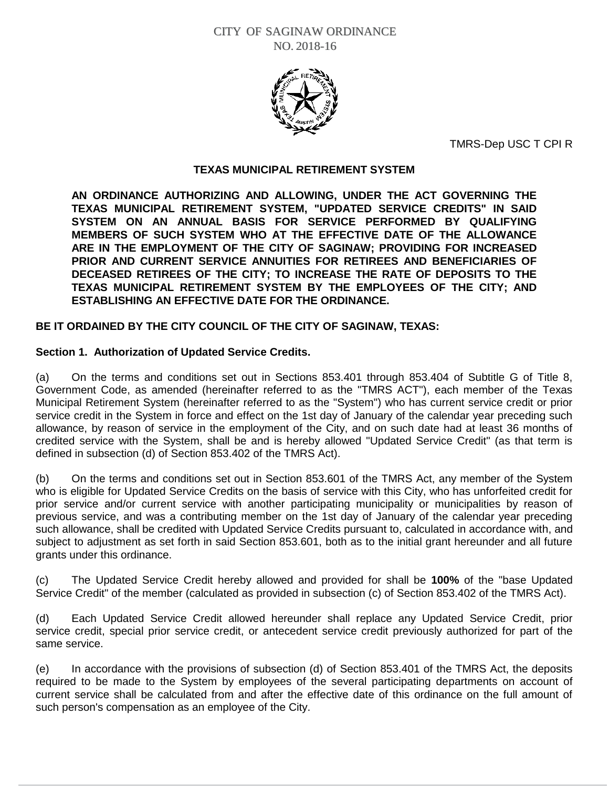

TMRS-Dep USC T CPI R

## **TEXAS MUNICIPAL RETIREMENT SYSTEM**

**AN ORDINANCE AUTHORIZING AND ALLOWING, UNDER THE ACT GOVERNING THE TEXAS MUNICIPAL RETIREMENT SYSTEM, "UPDATED SERVICE CREDITS" IN SAID SYSTEM ON AN ANNUAL BASIS FOR SERVICE PERFORMED BY QUALIFYING MEMBERS OF SUCH SYSTEM WHO AT THE EFFECTIVE DATE OF THE ALLOWANCE ARE IN THE EMPLOYMENT OF THE CITY OF SAGINAW; PROVIDING FOR INCREASED PRIOR AND CURRENT SERVICE ANNUITIES FOR RETIREES AND BENEFICIARIES OF DECEASED RETIREES OF THE CITY; TO INCREASE THE RATE OF DEPOSITS TO THE TEXAS MUNICIPAL RETIREMENT SYSTEM BY THE EMPLOYEES OF THE CITY; AND ESTABLISHING AN EFFECTIVE DATE FOR THE ORDINANCE.**

# **BE IT ORDAINED BY THE CITY COUNCIL OF THE CITY OF SAGINAW, TEXAS:**

## **Section 1. Authorization of Updated Service Credits.**

(a) On the terms and conditions set out in Sections 853.401 through 853.404 of Subtitle G of Title 8, Government Code, as amended (hereinafter referred to as the "TMRS ACT"), each member of the Texas Municipal Retirement System (hereinafter referred to as the "System") who has current service credit or prior service credit in the System in force and effect on the 1st day of January of the calendar year preceding such allowance, by reason of service in the employment of the City, and on such date had at least 36 months of credited service with the System, shall be and is hereby allowed "Updated Service Credit" (as that term is defined in subsection (d) of Section 853.402 of the TMRS Act).

(b) On the terms and conditions set out in Section 853.601 of the TMRS Act, any member of the System who is eligible for Updated Service Credits on the basis of service with this City, who has unforfeited credit for prior service and/or current service with another participating municipality or municipalities by reason of previous service, and was a contributing member on the 1st day of January of the calendar year preceding such allowance, shall be credited with Updated Service Credits pursuant to, calculated in accordance with, and subject to adjustment as set forth in said Section 853.601, both as to the initial grant hereunder and all future grants under this ordinance.

(c) The Updated Service Credit hereby allowed and provided for shall be **100%** of the "base Updated Service Credit" of the member (calculated as provided in subsection (c) of Section 853.402 of the TMRS Act).

(d) Each Updated Service Credit allowed hereunder shall replace any Updated Service Credit, prior service credit, special prior service credit, or antecedent service credit previously authorized for part of the same service.

(e) In accordance with the provisions of subsection (d) of Section 853.401 of the TMRS Act, the deposits required to be made to the System by employees of the several participating departments on account of current service shall be calculated from and after the effective date of this ordinance on the full amount of such person's compensation as an employee of the City.